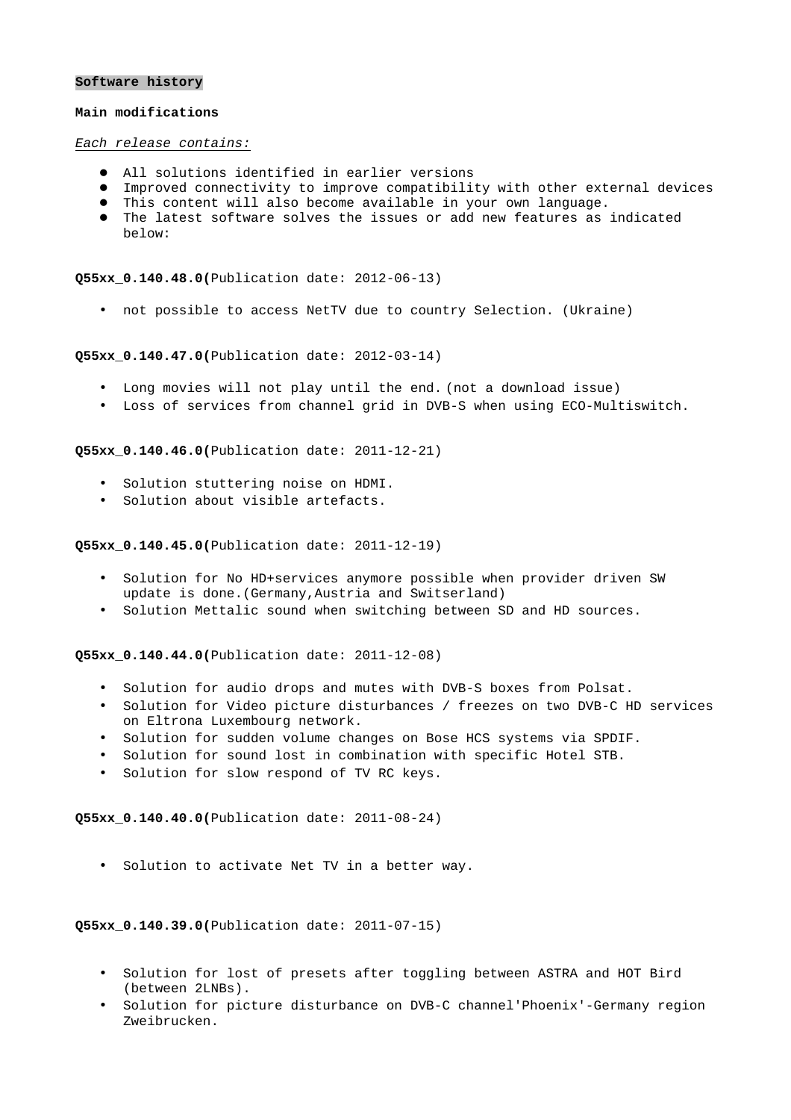#### **Software history**

### **Main modifications**

#### Each release contains:

- All solutions identified in earlier versions
- Improved connectivity to improve compatibility with other external devices
- This content will also become available in your own language.
- The latest software solves the issues or add new features as indicated below:

**Q55xx\_0.140.48.0(**Publication date: 2012-06-13)

• not possible to access NetTV due to country Selection. (Ukraine)

**Q55xx\_0.140.47.0(**Publication date: 2012-03-14)

- Long movies will not play until the end. (not a download issue)
- Loss of services from channel grid in DVB-S when using ECO-Multiswitch.

**Q55xx\_0.140.46.0(**Publication date: 2011-12-21)

- Solution stuttering noise on HDMI.
- Solution about visible artefacts.

**Q55xx\_0.140.45.0(**Publication date: 2011-12-19)

- Solution for No HD+services anymore possible when provider driven SW update is done.(Germany,Austria and Switserland)
- Solution Mettalic sound when switching between SD and HD sources.

**Q55xx\_0.140.44.0(**Publication date: 2011-12-08)

- Solution for audio drops and mutes with DVB-S boxes from Polsat.
- Solution for Video picture disturbances / freezes on two DVB-C HD services on Eltrona Luxembourg network.
- Solution for sudden volume changes on Bose HCS systems via SPDIF.
- Solution for sound lost in combination with specific Hotel STB.
- Solution for slow respond of TV RC keys.

**Q55xx\_0.140.40.0(**Publication date: 2011-08-24)

• Solution to activate Net TV in a better way.

**Q55xx\_0.140.39.0(**Publication date: 2011-07-15)

- Solution for lost of presets after toggling between ASTRA and HOT Bird (between 2LNBs).
- Solution for picture disturbance on DVB-C channel'Phoenix'-Germany region Zweibrucken.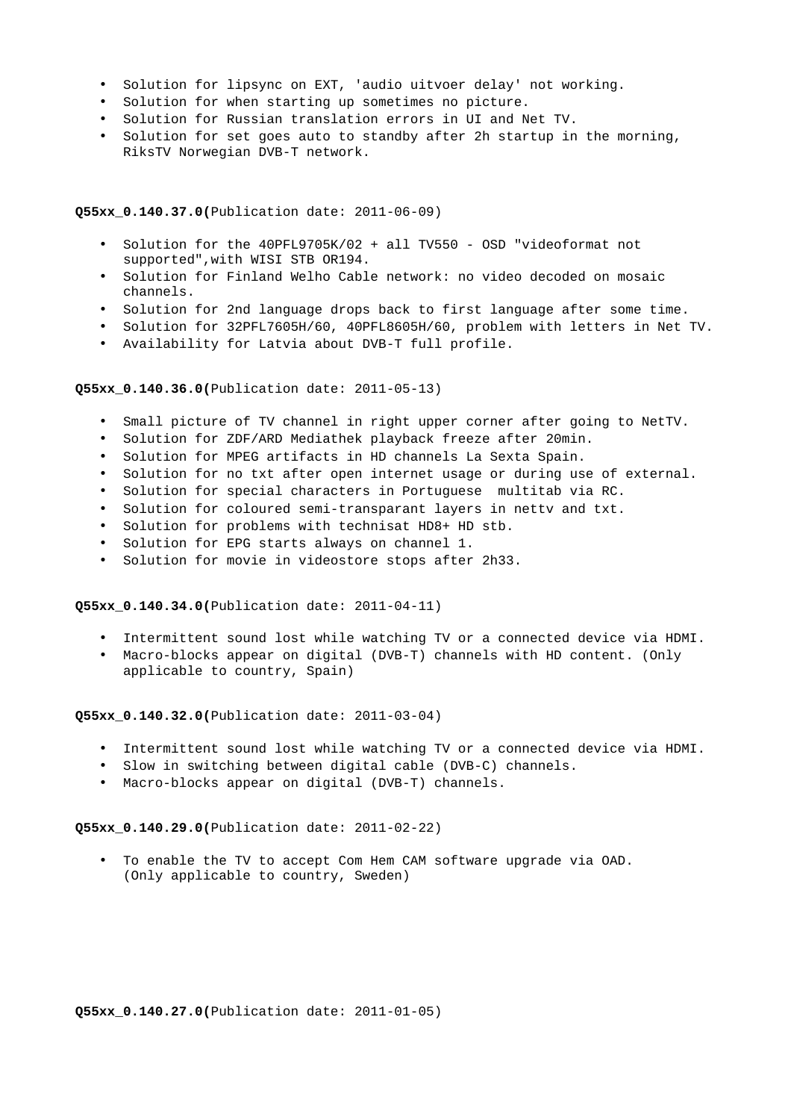- Solution for lipsync on EXT, 'audio uitvoer delay' not working.
- Solution for when starting up sometimes no picture.
- Solution for Russian translation errors in UI and Net TV.
- Solution for set goes auto to standby after 2h startup in the morning, RiksTV Norwegian DVB-T network.

**Q55xx\_0.140.37.0(**Publication date: 2011-06-09)

- Solution for the 40PFL9705K/02 + all TV550 OSD "videoformat not supported",with WISI STB OR194.
- Solution for Finland Welho Cable network: no video decoded on mosaic channels.
- Solution for 2nd language drops back to first language after some time.
- Solution for 32PFL7605H/60, 40PFL8605H/60, problem with letters in Net TV.
- Availability for Latvia about DVB-T full profile.

**Q55xx\_0.140.36.0(**Publication date: 2011-05-13)

- Small picture of TV channel in right upper corner after going to NetTV.
- Solution for ZDF/ARD Mediathek playback freeze after 20min.
- Solution for MPEG artifacts in HD channels La Sexta Spain.
- Solution for no txt after open internet usage or during use of external.
- Solution for special characters in Portuguese multitab via RC.
- Solution for coloured semi-transparant layers in nettv and txt.
- Solution for problems with technisat HD8+ HD stb.
- Solution for EPG starts always on channel 1.
- Solution for movie in videostore stops after 2h33.

**Q55xx\_0.140.34.0(**Publication date: 2011-04-11)

- Intermittent sound lost while watching TV or a connected device via HDMI.
- Macro-blocks appear on digital (DVB-T) channels with HD content. (Only applicable to country, Spain)

**Q55xx\_0.140.32.0(**Publication date: 2011-03-04)

- Intermittent sound lost while watching TV or a connected device via HDMI.
- Slow in switching between digital cable (DVB-C) channels.
- Macro-blocks appear on digital (DVB-T) channels.

**Q55xx\_0.140.29.0(**Publication date: 2011-02-22)

• To enable the TV to accept Com Hem CAM software upgrade via OAD. (Only applicable to country, Sweden)

**Q55xx\_0.140.27.0(**Publication date: 2011-01-05)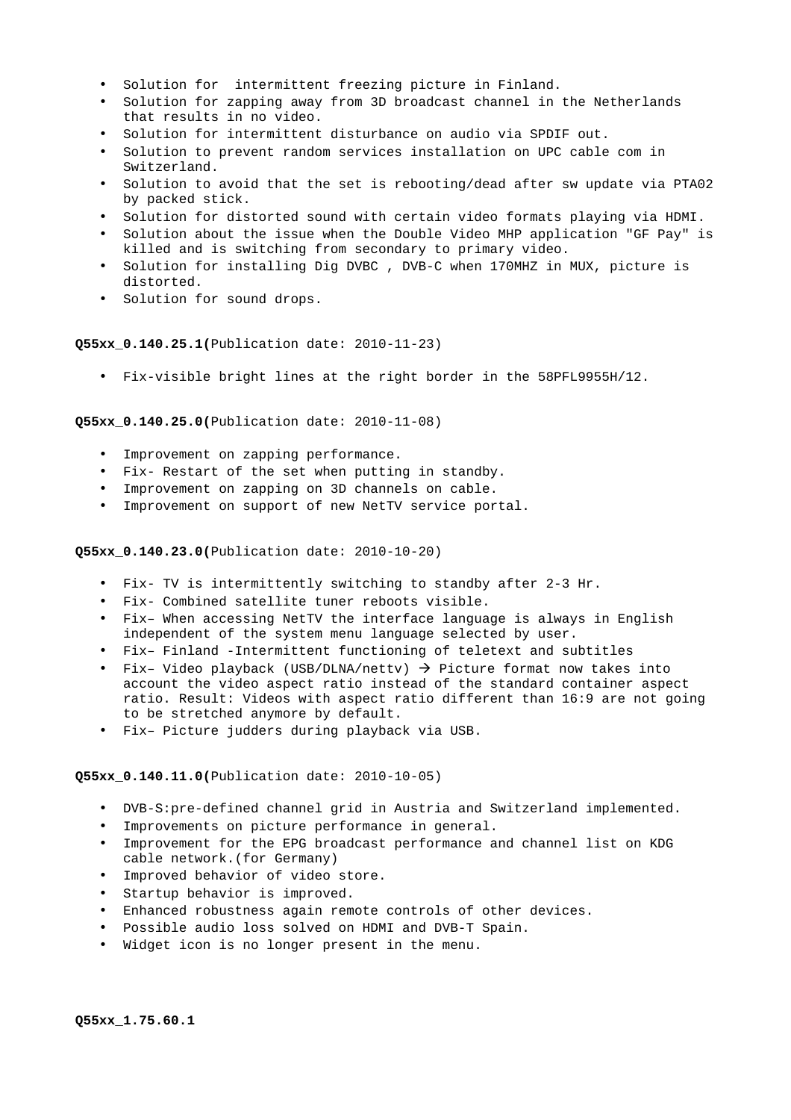- Solution for intermittent freezing picture in Finland.
- Solution for zapping away from 3D broadcast channel in the Netherlands that results in no video.
- Solution for intermittent disturbance on audio via SPDIF out.
- Solution to prevent random services installation on UPC cable com in Switzerland.
- Solution to avoid that the set is rebooting/dead after sw update via PTA02 by packed stick.
- Solution for distorted sound with certain video formats playing via HDMI.
- Solution about the issue when the Double Video MHP application "GF Pay" is killed and is switching from secondary to primary video.
- Solution for installing Dig DVBC , DVB-C when 170MHZ in MUX, picture is distorted.
- Solution for sound drops.

**Q55xx\_0.140.25.1(**Publication date: 2010-11-23)

• Fix-visible bright lines at the right border in the 58PFL9955H/12.

**Q55xx\_0.140.25.0(**Publication date: 2010-11-08)

- Improvement on zapping performance.
- Fix- Restart of the set when putting in standby.
- Improvement on zapping on 3D channels on cable.
- Improvement on support of new NetTV service portal.

#### **Q55xx\_0.140.23.0(**Publication date: 2010-10-20)

- Fix- TV is intermittently switching to standby after 2-3 Hr.
- Fix- Combined satellite tuner reboots visible.
- Fix– When accessing NetTV the interface language is always in English independent of the system menu language selected by user.
- Fix– Finland -Intermittent functioning of teletext and subtitles
- Fix- Video playback (USB/DLNA/nettv)  $\rightarrow$  Picture format now takes into account the video aspect ratio instead of the standard container aspect ratio. Result: Videos with aspect ratio different than 16:9 are not going to be stretched anymore by default.
- Fix– Picture judders during playback via USB.

### **Q55xx\_0.140.11.0(**Publication date: 2010-10-05)

- DVB-S:pre-defined channel grid in Austria and Switzerland implemented.
- Improvements on picture performance in general.
- Improvement for the EPG broadcast performance and channel list on KDG cable network.(for Germany)
- Improved behavior of video store.
- Startup behavior is improved.
- Enhanced robustness again remote controls of other devices.
- Possible audio loss solved on HDMI and DVB-T Spain.
- Widget icon is no longer present in the menu.

**Q55xx\_1.75.60.1**